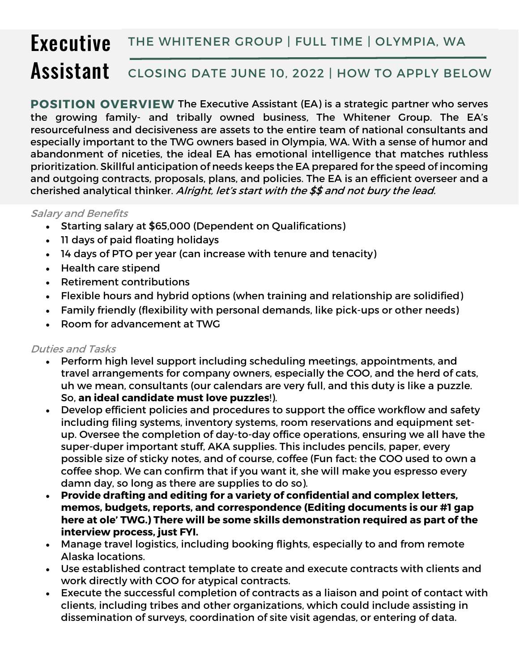## **Executive Assistant** THE WHITENER GROUP | FULL TIME | OLYMPIA, WA CLOSING DATE JUNE 10, 2022 | HOW TO APPLY BELOW

**POSITION OVERVIEW** The Executive Assistant (EA) is a strategic partner who serves the growing family- and tribally owned business, The Whitener Group. The EA's resourcefulness and decisiveness are assets to the entire team of national consultants and especially important to the TWG owners based in Olympia, WA. With a sense of humor and abandonment of niceties, the ideal EA has emotional intelligence that matches ruthless prioritization. Skillful anticipation of needs keeps the EA prepared for the speed of incoming and outgoing contracts, proposals, plans, and policies. The EA is an efficient overseer and a cherished analytical thinker. Alright, let's start with the \$\$ and not bury the lead.

## Salary and Benefits

- Starting salary at \$65,000 (Dependent on Qualifications)
- 11 days of paid floating holidays
- 14 days of PTO per year (can increase with tenure and tenacity)
- Health care stipend
- Retirement contributions
- Flexible hours and hybrid options (when training and relationship are solidified)
- Family friendly (flexibility with personal demands, like pick-ups or other needs)
- Room for advancement at TWG

## Duties and Tasks

- Perform high level support including scheduling meetings, appointments, and travel arrangements for company owners, especially the COO, and the herd of cats, uh we mean, consultants (our calendars are very full, and this duty is like a puzzle. So, **an ideal candidate must love puzzles**!).
- Develop efficient policies and procedures to support the office workflow and safety including filing systems, inventory systems, room reservations and equipment setup. Oversee the completion of day-to-day office operations, ensuring we all have the super-duper important stuff, AKA supplies. This includes pencils, paper, every possible size of sticky notes, and of course, coffee (Fun fact: the COO used to own a coffee shop. We can confirm that if you want it, she will make you espresso every damn day, so long as there are supplies to do so).
- **Provide drafting and editing for a variety of confidential and complex letters, memos, budgets, reports, and correspondence (Editing documents is our #1 gap here at ole' TWG.) There will be some skills demonstration required as part of the interview process, just FYI.**
- Manage travel logistics, including booking flights, especially to and from remote Alaska locations.
- Use established contract template to create and execute contracts with clients and work directly with COO for atypical contracts.
- Execute the successful completion of contracts as a liaison and point of contact with clients, including tribes and other organizations, which could include assisting in dissemination of surveys, coordination of site visit agendas, or entering of data.